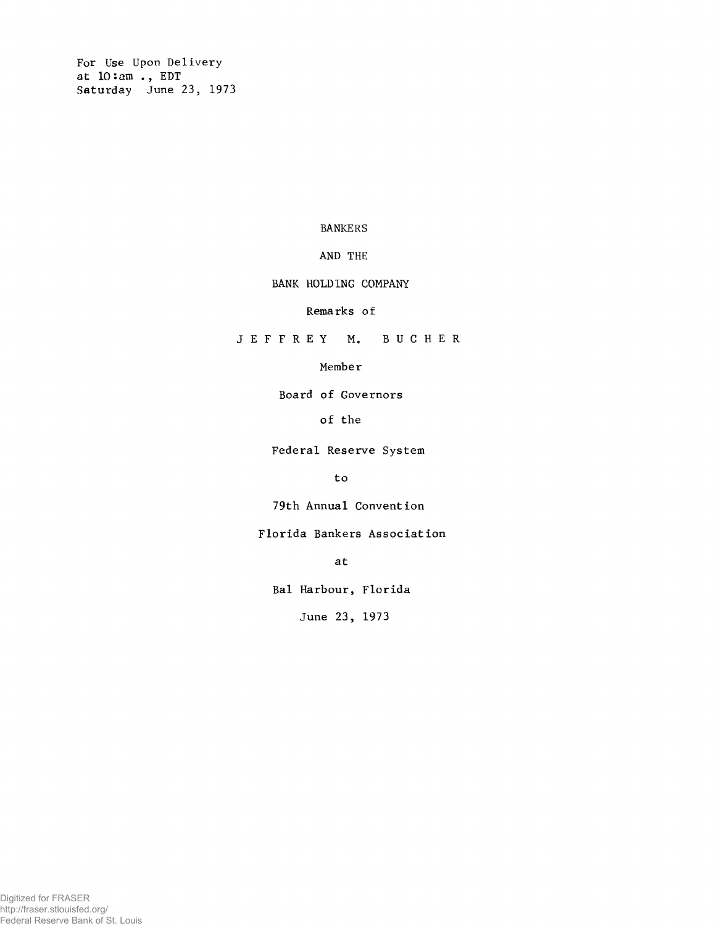**For Use Upon Delivery at 10:am . , EDT Saturday June 23, 1973**

### **BANKERS**

# **AND THE**

## **BANK HOLDING COMPANY**

### **Remarks of**

**J E F F R E Y M. B U C H E R**

### **Member**

**Board of Governors**

## **of the**

**Federal Reserve System**

**to**

**79th Annual Convention**

**Florida Bankers Association**

**at**

**Bal Harbour, Florida**

**June 23, 1973**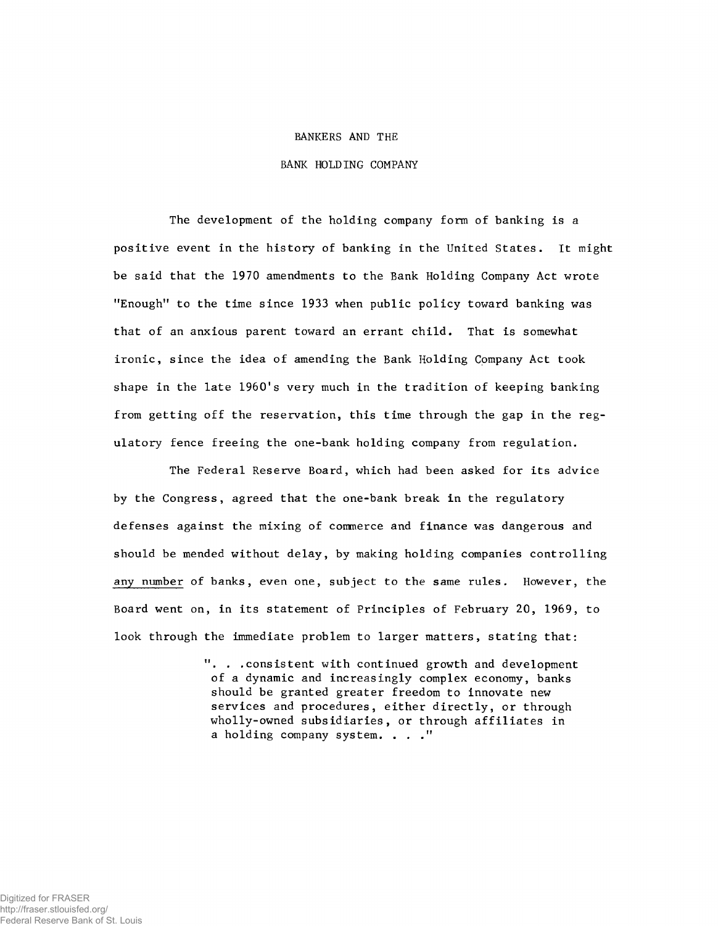#### **BANKERS AND THE**

### **BANK HOLDING COMPANY**

**The development of the holding company form of banking is a positive event in the history of banking in the United States. It might be said that the 1970 amendments to the Bank Holding Company Act wrote "Enough" to the time since 1933 when public policy toward banking was that of an anxious parent toward an errant child. That is somewhat ironic, since the idea of amending the Bank Holding Company Act took** shape in the late 1960's very much in the tradition of keeping banking **from getting off the reservation, this time through the gap in the regulatory fence freeing the one-bank holding company from regulation.**

**The Federal Reserve Board, which had been asked for its advice by the Congress, agreed that the one-bank break in the regulatory defenses against the mixing of commerce and finance was dangerous and should be mended without delay, by making holding companies controlling any number of banks, even one, subject to the same rules. However, the Board went on, in its statement of Principles of February 20, 1969, to look through the immediate problem to larger matters, stating that:**

> **". . .consistent with continued growth and development of a dynamic and increasingly complex economy, banks should be granted greater freedom to innovate new services and procedures, either directly, or through wholly-owned subsidiaries, or through affiliates in a holding company system. ..."**

Digitized for FRASER http://fraser.stlouisfed.org/ Federal Reserve Bank of St. Louis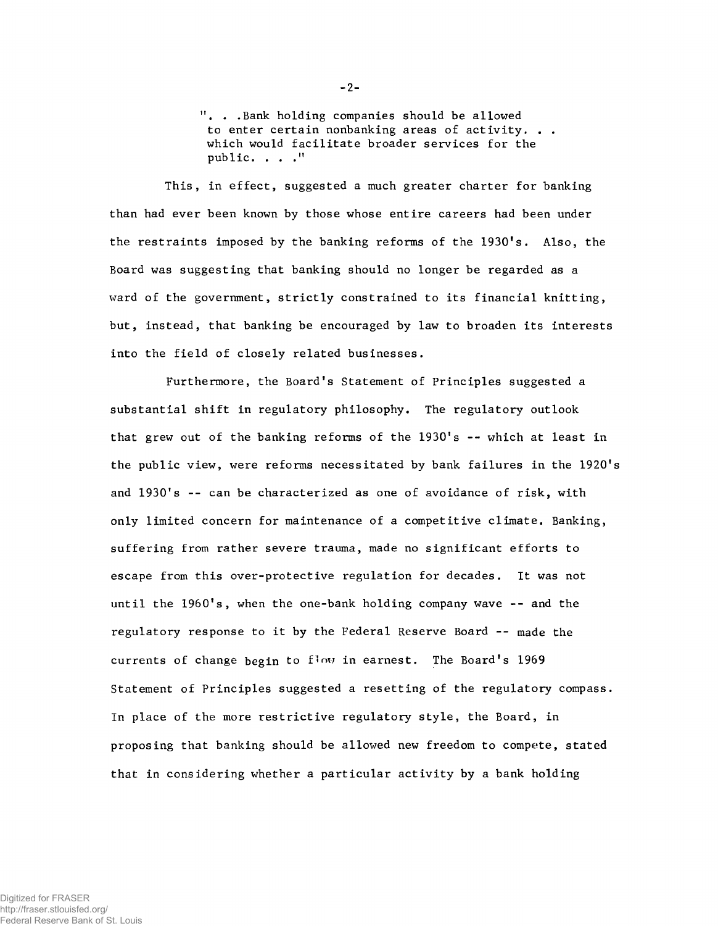**11. . .Bank holding companies should be allowed to enter certain nonbanking areas of activity. . . which would facilitate broader services for the public. ..."**

**This, in effect, suggested a much greater charter for banking than had ever been known by those whose entire careers had been under the restraints imposed by the banking reforms of the 1930's. Also, the Board was suggesting that banking should no longer be regarded as a ward of the government, strictly constrained to its financial knitting, but, instead, that banking be encouraged by law to broaden its interests into the field of closely related businesses.**

**Furthermore, the Board's Statement of Principles suggested a substantial shift in regulatory philosophy. The regulatory outlook that grew out of the banking reforms of the 1930's -- which at least in the public view, were reforms necessitated by bank failures in the 1920's and 1930's -- can be characterized as one of avoidance of risk, with only limited concern for maintenance of a competitive climate. Banking, suffering from rather severe trauma, made no significant efforts to escape from this over-protective regulation for decades. It was not until the 1960's, when the one-bank holding company wave -- and the regulatory response to it by the Federal Reserve Board -- made the currents of change begin to flow in earnest. The Board's 1969 Statement of Principles suggested a resetting of the regulatory compass. In place of the more restrictive regulatory style, the Board, in proposing that banking should be allowed new freedom to compete, stated that in considering whether a particular activity by a bank holding**

 $-2-$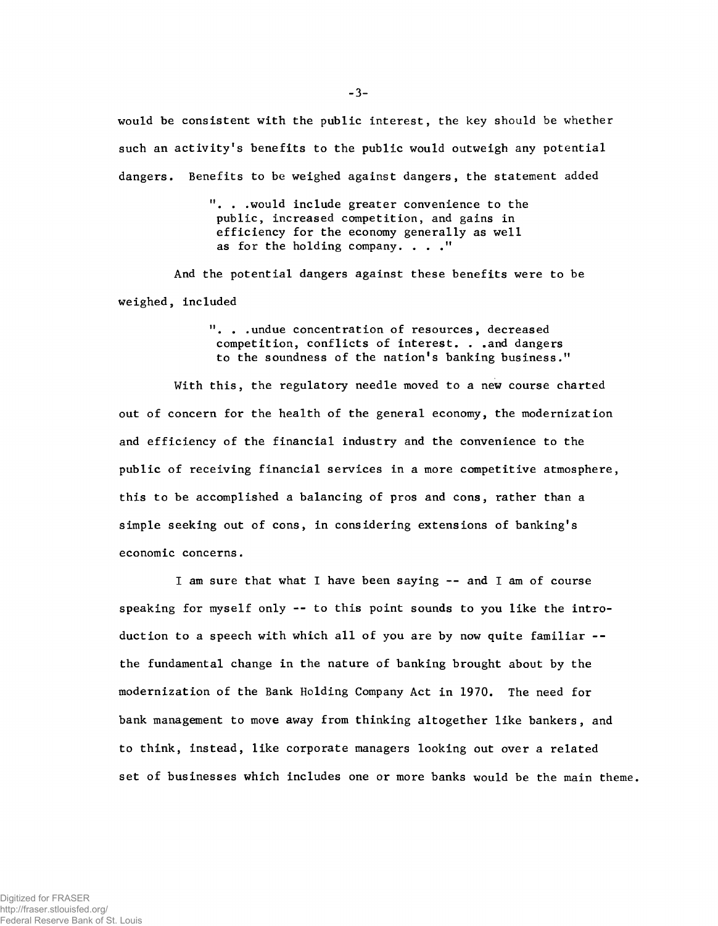**would be consistent with the public interest, the key should be whether such an activity's benefits to the public would outweigh any potential dangers. Benefits to be weighed against dangers, the statement added**

> **11. . .would include greater convenience to the public, increased competition, and gains in efficiency for the economy generally as well as for the holding company. . . ."**

**And the potential dangers against these benefits were to be we ighed, included**

> **11. . .undue concentration of resources, decreased competition, conflicts of interest. . .and dangers to the soundness of the nation's banking business."**

**With this, the regulatory needle moved to a new course charted out of concern for the health of the general economy, the modernization and efficiency of the financial industry and the convenience to the public of receiving financial services in a more competitive atmosphere, this to be accomplished a balancing of pros and cons, rather than a simple seeking out of cons, in considering extensions of banking's economic concerns.**

**I am sure that what I have been saying -- and I am of course speaking for myself only -- to this point sounds to you like the introduction to a speech with which all of you are by now quite familiar - the fundamental change in the nature of banking brought about by the modernization of the Bank Holding Company Act in 1970. The need for bank management to move away from thinking altogether like bankers, and to think, instead, like corporate managers looking out over a related set of businesses which includes one or more banks would be the main theme.**

 $-3-$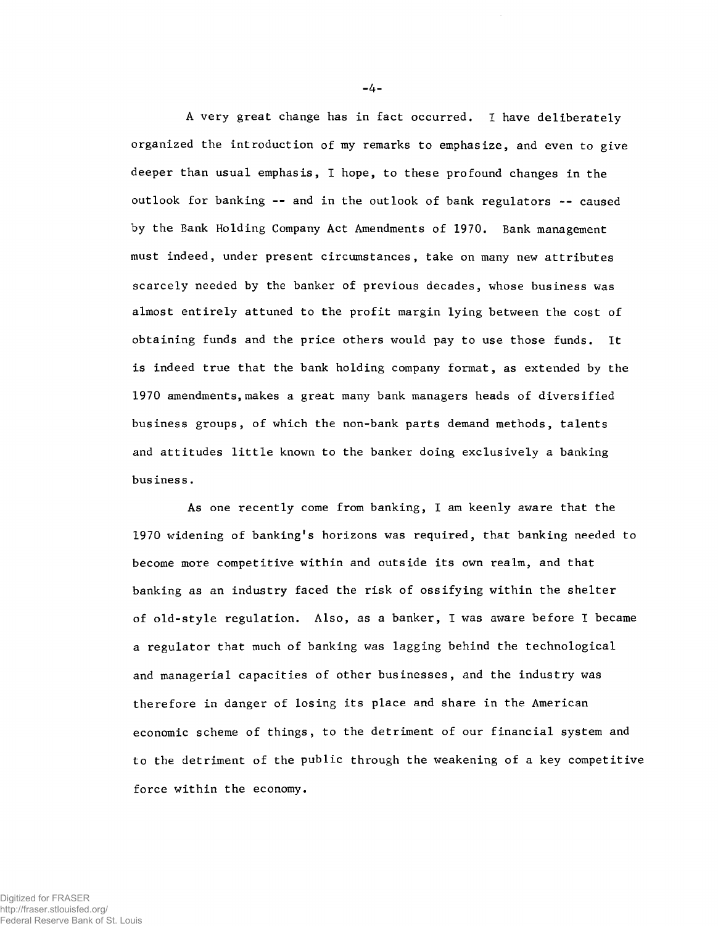**A very great change has in fact occurred. I have deliberately organized the introduction of my remarks to emphasize, and even to give deeper than usual emphasis, I hope, to these profound changes in the outlook for banking -- and in the outlook of bank regulators -- caused by the Bank Holding Company Act Amendments of 1970. Bank management must indeed, under present circumstances, take on many new attributes scarcely needed by the banker of previous decades, whose business was almost entirely attuned to the profit margin lying between the cost of obtaining funds and the price others would pay to use those funds. It is indeed true that the bank holding company format, as extended by the 1970 amendments, makes a great many bank managers heads of diversified business groups, of which the non-bank parts demand methods, talents and attitudes little known to the banker doing exclusively a banking business.**

**As one recently come from banking, I am keenly aware that the 1970 widening of banking\*s horizons was required, that banking needed to become more competitive within and outside its own realm, and that banking as an industry faced the risk of ossifying within the shelter of old-style regulation. Also, as a banker, I was aware before I became a regulator that much of banking was lagging behind the technological and managerial capacities of other businesses, and the industry was therefore in danger of losing its place and share in the American economic scheme of things, to the detriment of our financial system and to the detriment of the public through the weakening of a key competitive force within the economy.**

-4-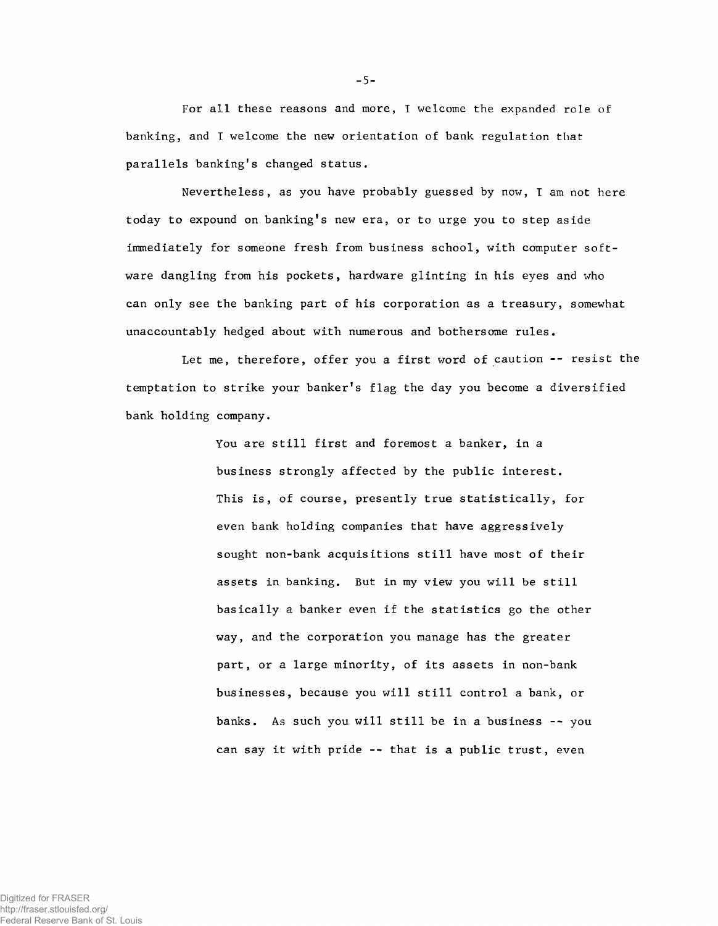**For all these reasons and more, I welcome the expanded role of banking, and I welcome the new orientation of bank regulation that parallels banking's changed status.**

**Nevertheless, as you have probably guessed by now, I am not here today to expound on banking's new era, or to urge you to step aside immediately for someone fresh from business school, with computer software dangling from his pockets, hardware glinting in his eyes and who can only see the banking part of his corporation as a treasury, somewhat unaccountably hedged about with numerous and bothersome rules.**

**Let me, therefore, offer you a first word of caution -- resist the temptation to strike your banker's flag the day you become a diversified bank holding company.**

> **You are still first and foremost a banker, in a business strongly affected by the public interest. This is, of course, presently true statistically, for even bank holding companies that have aggressively sought non-bank acquisitions still have most of their assets in banking. But in my view you will be still basically a banker even if the statistics go the other way, and the corporation you manage has the greater part, or a large minority, of its assets in non-bank businesses, because you will still control a bank, or banks. As such you will still be in a business -- you can say it with pride -- that is a public trust, even**

-5-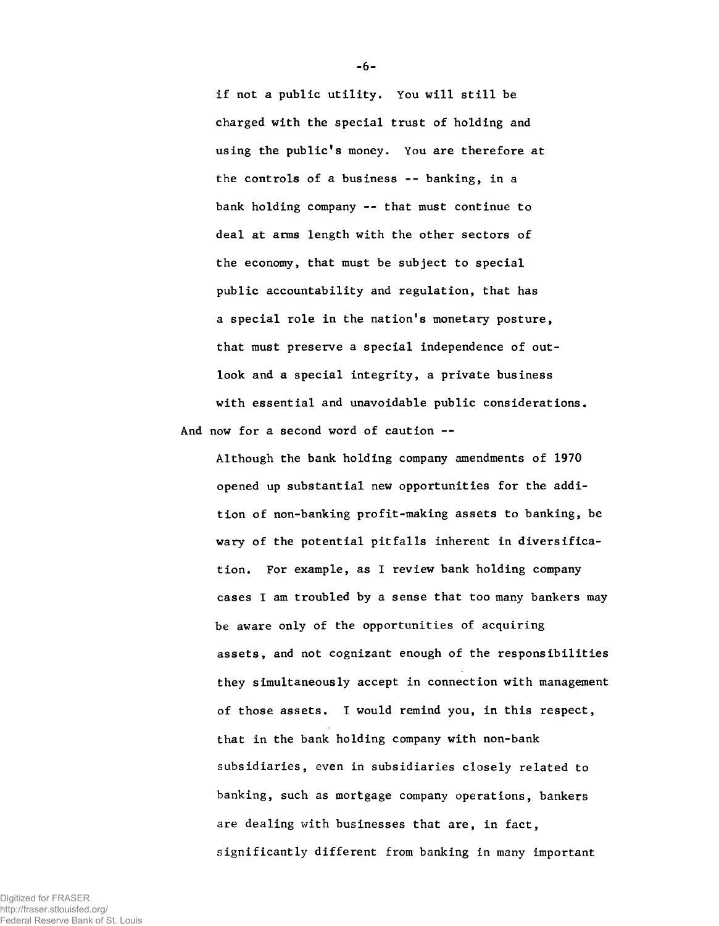**if not a public utility. You will still be charged with the special trust of holding and using the public's money. You are therefore at the controls of a business -- banking, in a bank holding company -- that must continue to deal at arms length with the other sectors of the economy, that must be subject to special public accountability and regulation, that has a special role in the nation's monetary posture, that must preserve a special independence of outlook and a special integrity, a private business with essential and unavoidable public considerations. And now for a second word of caution --**

**Although the bank holding company amendments of 1970 opened up substantial new opportunities for the addition of non-banking profit-making assets to banking, be wary of the potential pitfalls inherent in diversification. For example, as I review bank holding company cases I am troubled by a sense that too many bankers may be aware only of the opportunities of acquiring assets, and not cognizant enough of the responsibilities they simultaneously accept in connection with management of those assets. I would remind you, in this respect, that in the bank holding company with non-bank subsidiaries, even in subsidiaries closely related to banking, such as mortgage company operations, bankers are dealing with businesses that are, in fact, significantly different from banking in many important**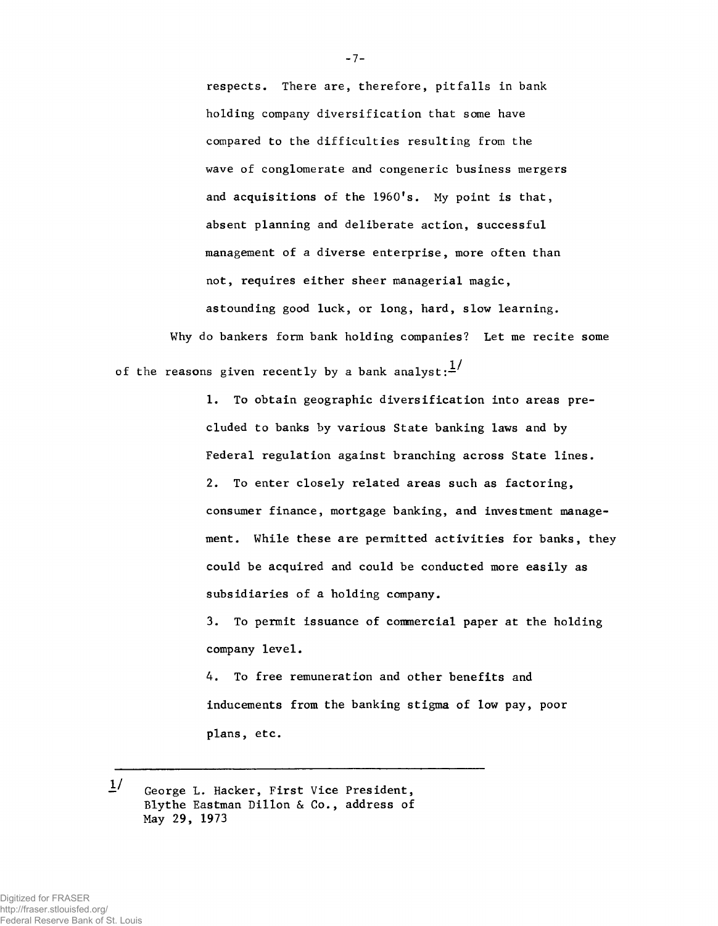**respects. There are, therefore, pitfalls in bank holding company diversification that some have compared to the difficulties resulting from the wave of conglomerate and congeneric business mergers** and acquisitions of the 1960's. My point is that, **absent planning and deliberate action, successful management of a diverse enterprise, more often than not, requires either sheer managerial magic, astounding good luck, or long, hard, slow learning.**

**Why do bankers form bank holding companies? Let me recite some** of the reasons given recently by a bank analyst: $\frac{1}{1}$ 

> **1. To obtain geographic diversification into areas precluded to banks by various State banking laws and by Federal regulation against branching across State lines. 2. To enter closely related areas such as factoring, consumer finance, mortgage banking, and investment management. While these are permitted activities for banks, they could be acquired and could be conducted more easily as subsidiaries of a holding company.**

**3. To permit issuance of commercial paper at the holding company level.**

**4. To free remuneration and other benefits and inducements from the banking stigma of low pay, poor plans, etc.**

 $1/$ **George L. Hacker, First Vice President,** Blythe Eastman Dillon & Co., address of **May 29, 1973**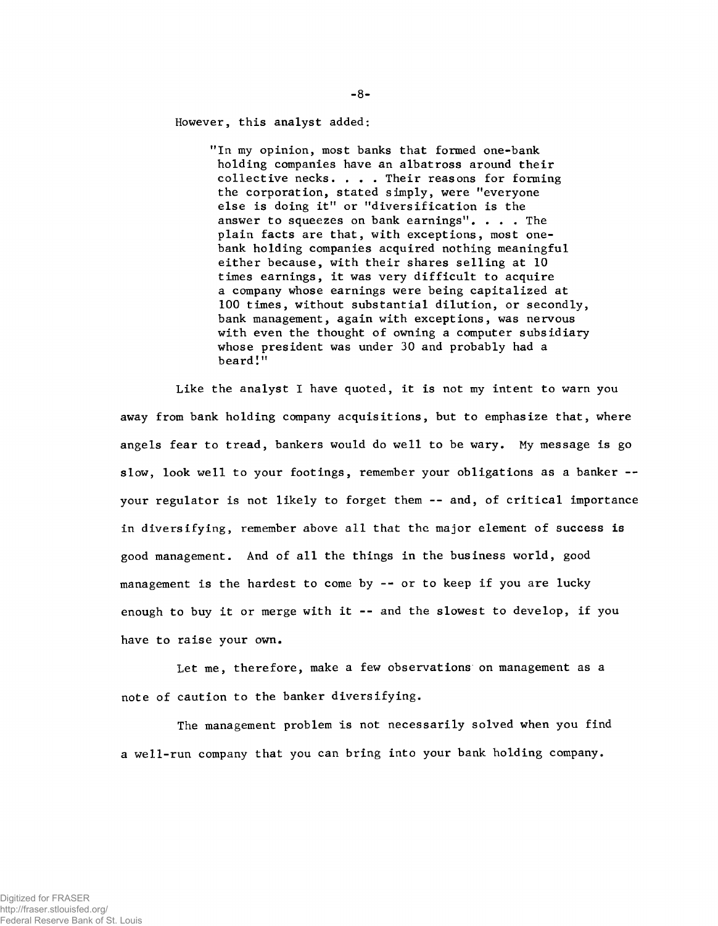**However, this analyst added:**

**"In my opinion, most banks that formed one-bank holding companies have an albatross around their collective necks. . . . Their reasons for forming the corporation, stated simply, were "everyone else is doing it" or "diversification is the answer to squeezes on bank earnings". . . . The plain facts are that, with exceptions, most onebank holding companies acquired nothing meaningful either because, with their shares selling at 10 times earnings, it was very difficult to acquire a company whose earnings were being capitalized at 100 times, without substantial dilution, or secondly, bank management, again with exceptions, was nervous with even the thought of owning a computer subsidiary whose president was under 30 and probably had a beard!"**

**Like the analyst I have quoted, it is not my intent to warn you away from bank holding company acquisitions, but to emphasize that, where angels fear to tread, bankers would do well to be wary. My message is go slow, look well to your footings, remember your obligations as a banker - your regulator is not likely to forget them -- and, of critical importance in diversifying, remember above all that the major element of success is good management. And of all the things in the business world, good management is the hardest to come by -- or to keep if you are lucky enough to buy it or merge with it -- and the slowest to develop, if you have to raise your own.**

**Let me, therefore, make a few observations on management as a note of caution to the banker diversifying.**

**The management problem is not necessarily solved when you find a well-run company that you can bring into your bank holding company.**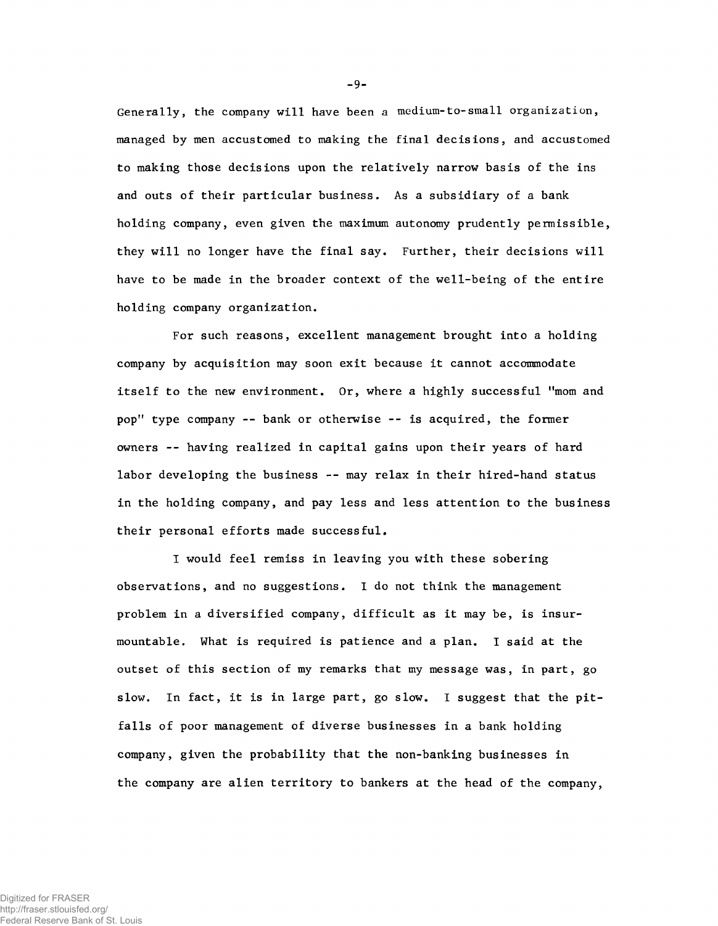**Generally, the company will have been a medium-to-small organization, managed by men accustomed to making the final decisions, and accustomed to making those decisions upon the relatively narrow basis of the ins and outs of their particular business. As a subsidiary of a bank holding company, even given the maximum autonomy prudently permissible, they will no longer have the final say. Further, their decisions will have to be made in the broader context of the well-being of the entire holding company organization.**

**For such reasons, excellent management brought into a holding company by acquisition may soon exit because it cannot accommodate itself to the new environment. Or, where a highly successful "mom and pop" type company -- bank or otherwise -- is acquired, the former owners -- having realized in capital gains upon their years of hard labor developing the business -- may relax in their hired-hand status in the holding company, and pay less and less attention to the business their personal efforts made successful.**

**I would feel remiss in leaving you with these sobering observations, and no suggestions. I do not think the management problem in a diversified company, difficult as it may be, is insurmountable. What is required is patience and a plan. I said at the outset of this section of my remarks that my message was, in part, go slow. In fact, it is in large part, go slow. I suggest that the pitfalls of poor management of diverse businesses in a bank holding company, given the probability that the non-banking businesses in the company are alien territory to bankers at the head of the company,**

-9-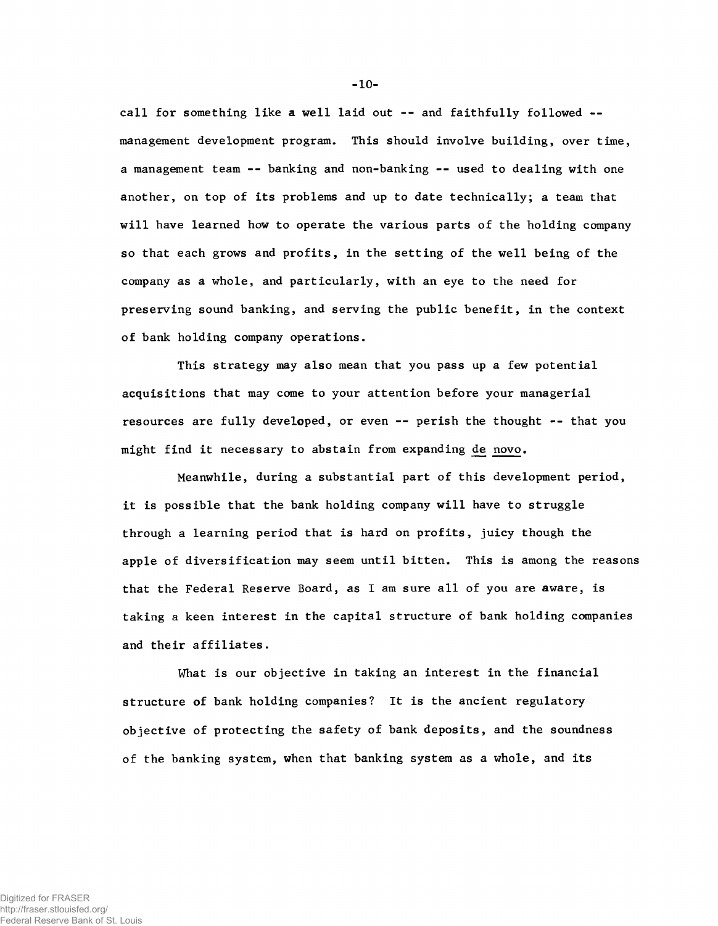**call for something like a well laid out -- and faithfully followed management development program. This should involve building, over time, a management team -- banking and non-banking -- used to dealing with one another, on top of its problems and up to date technically; a team that will have learned how to operate the various parts of the holding company so that each grows and profits, in the setting of the well being of the company as a whole, and particularly, with an eye to the need for preserving sound banking, and serving the public benefit, in the context of bank holding company operations.**

**This strategy may also mean that you pass up a few potential acquisitions that may come to your attention before your managerial resources are fully developed, or even -- perish the thought -- that you might find it necessary to abstain from expanding <de novo.**

**Meanwhile, during a substantial part of this development period, it is possible that the bank holding company will have to struggle through a learning period that is hard on profits, juicy though the apple of diversification may seem until bitten. This is among the reasons that the Federal Reserve Board, as I am sure all of you are aware, is taking a keen interest in the capital structure of bank holding companies and their affiliates.**

**What is our objective in taking an interest in the financial structure of bank holding companies? It is the ancient regulatory objective of protecting the safety of bank deposits, and the soundness of the banking system, when that banking system as a whole, and its**

**- 10-**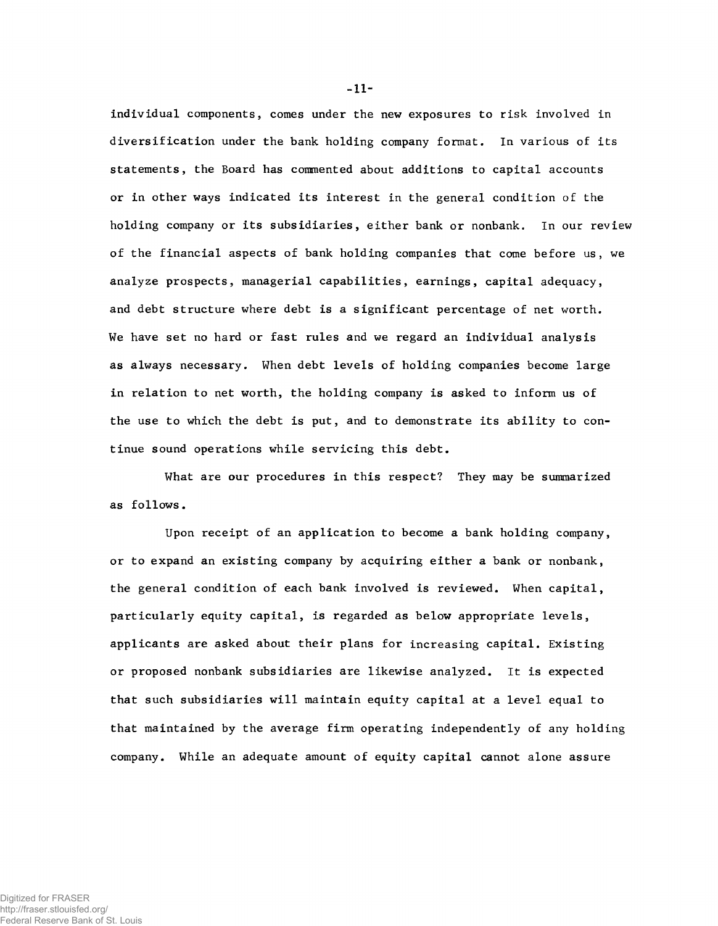**individual components, comes under the new exposures to risk involved in diversification under the bank holding company format. In various of its statements, the Board has commented about additions to capital accounts or in other ways indicated its interest in the general condition of the holding company or its subsidiaries, either bank or nonbank. In our review of the financial aspects of bank holding companies that come before us, we analyze prospects, managerial capabilities, earnings, capital adequacy, and debt structure where debt is a significant percentage of net worth. We have set no hard or fast rules and we regard an individual analysis as always necessary. When debt levels of holding companies become large in relation to net worth, the holding company is asked to inform us of the use to which the debt is put, and to demonstrate its ability to continue sound operations while servicing this debt.**

**What are our procedures in this respect? They may be summarized as follows.**

**Upon receipt of an application to become a bank holding company, or to expand an existing company by acquiring either a bank or nonbank, the general condition of each bank involved is reviewed. When capital, particularly equity capital, is regarded as below appropriate levels, applicants are asked about their plans for increasing capital. Existing or proposed nonbank subsidiaries are likewise analyzed. It is expected that such subsidiaries will maintain equity capital at a level equal to that maintained by the average firm operating independently of any holding company. While an adequate amount of equity capital cannot alone assure**

- **11**-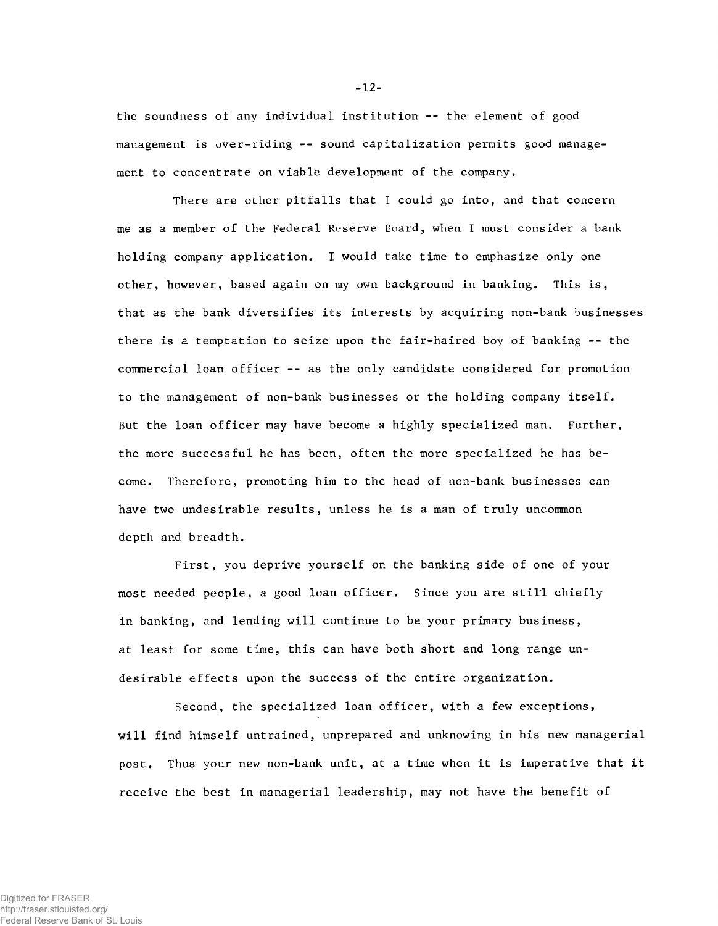**the soundness of any individual institution -- the element of good management is over-riding -- sound capitalization permits good management to concentrate on viable development of the company.**

**There are other pitfalls that I could go into, and that concern me as a member of the Federal Reserve Board, when I must consider a bank holding company application. I would take time to emphasize only one other, however, based again on my own background in banking. This is, that as the bank diversifies its interests by acquiring non-bank businesses there is a temptation to seize upon the fair-haired boy of banking -- the commercial loan officer -- as the only candidate considered for promotion to the management of non-bank businesses or the holding company itself. But the loan officer may have become a highly specialized man. Further, the more successful he has been, often the more specialized he has become. Therefore, promoting him to the head of non-bank businesses can have two undesirable results, unless he is a man of truly uncommon depth and breadth.**

**First, you deprive yourself on the banking side of one of your most needed people, a good loan officer. Since you are still chiefly in banking, and lending will continue to be your primary business, at least for some time, this can have both short and long range undesirable effects upon the success of the entire organization.**

**Second, the specialized loan officer, with a few exceptions, will find himself untrained, unprepared and unknowing in his new managerial post. Thus your new non-bank unit, at a time when it is imperative that it receive the best in managerial leadership, may not have the benefit of**

-12-